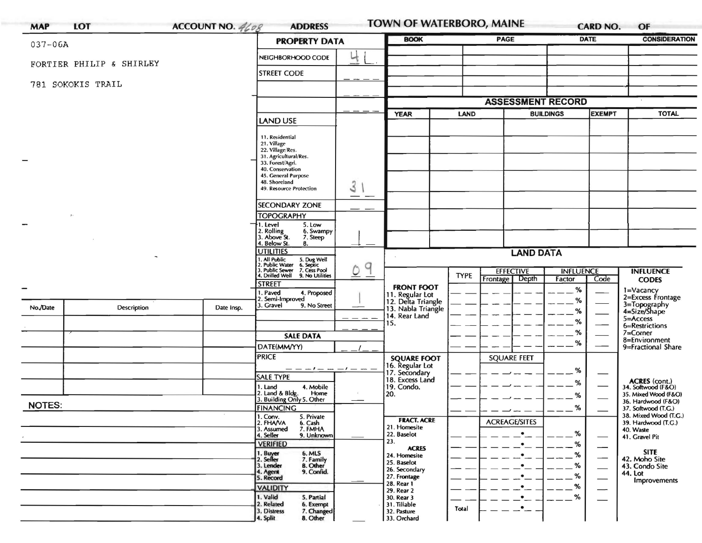| <b>MAP</b>               | <b>LOT</b>  | ACCOUNT NO. 4608 | <b>ADDRESS</b>                                                                                                                                                                         |             | <b>TOWN OF WATERBORO, MAINE</b>                                                     |             |                                    |                                   | <b>CARD NO.</b><br>OF |                                                                             |
|--------------------------|-------------|------------------|----------------------------------------------------------------------------------------------------------------------------------------------------------------------------------------|-------------|-------------------------------------------------------------------------------------|-------------|------------------------------------|-----------------------------------|-----------------------|-----------------------------------------------------------------------------|
| $037 - 06A$              |             |                  | <b>PROPERTY DATA</b>                                                                                                                                                                   |             | <b>BOOK</b>                                                                         | <b>PAGE</b> |                                    | <b>DATE</b>                       |                       | <b>CONSIDERATION</b>                                                        |
|                          |             |                  | NEIGHBORHOOD CODE                                                                                                                                                                      | Ц           |                                                                                     |             |                                    |                                   |                       |                                                                             |
| FORTIER PHILIP & SHIRLEY |             |                  | <b>STREET CODE</b>                                                                                                                                                                     |             |                                                                                     |             |                                    |                                   |                       |                                                                             |
| 781 SOKOKIS TRAIL        |             |                  |                                                                                                                                                                                        |             |                                                                                     |             |                                    |                                   |                       |                                                                             |
|                          |             |                  |                                                                                                                                                                                        |             | <b>ASSESSMENT RECORD</b>                                                            |             |                                    |                                   |                       |                                                                             |
|                          |             |                  | <b>LAND USE</b>                                                                                                                                                                        |             | <b>YEAR</b>                                                                         | LAND        |                                    | <b>EXEMPT</b><br><b>BUILDINGS</b> |                       | <b>TOTAL</b>                                                                |
|                          |             |                  | 11. Residential<br>21. Village<br>22. Village/Res.<br>31. Agricultural/Res.<br>33. Forest/Agri.<br>40. Conservation<br>45. General Purpose<br>48. Shoreland<br>49. Resource Protection | 3           |                                                                                     |             |                                    |                                   |                       |                                                                             |
|                          |             |                  | <b>SECONDARY ZONE</b>                                                                                                                                                                  |             |                                                                                     |             |                                    |                                   |                       |                                                                             |
|                          |             |                  | <b>TOPOGRAPHY</b>                                                                                                                                                                      | ——          |                                                                                     |             |                                    |                                   |                       |                                                                             |
|                          |             |                  | 5. Low<br>∤1. Level<br>2. Rolling<br>3. Above St.<br>6. Swampy<br>7. Steep<br>4. Below St.<br>8.                                                                                       |             |                                                                                     |             |                                    |                                   |                       |                                                                             |
|                          |             |                  | <b>UTILITIES</b>                                                                                                                                                                       |             | <b>LAND DATA</b>                                                                    |             |                                    |                                   |                       |                                                                             |
|                          |             |                  | 1. All Public<br>2. Public Water<br>3. Public Sewer<br>4. Drilled Well<br>5. Dug Well<br>6. Septic<br>7. Cess Pool<br>9. No Utilities                                                  | 9<br>$\cup$ |                                                                                     | <b>TYPE</b> | <b>EFFECTIVE</b><br>Frontage Depth | <b>INFLUENCE</b><br>Factor        | Code                  | <b>INFLUENCE</b><br><b>CODES</b>                                            |
|                          |             |                  | <b>STREET</b><br>1. Paved<br>4. Proposed                                                                                                                                               |             | <b>FRONT FOOT</b>                                                                   |             |                                    | %                                 |                       | 1=Vacancy<br>2=Excess Frontage                                              |
| No./Date                 | Description | Date Insp.       | 2. Semi-Improved<br>3. Gravel<br>9. No Street                                                                                                                                          |             | 11. Regular Lot<br>12. Delta Triangle<br>13. Nabla Triangle<br>14. Rear Land<br>15. |             |                                    | %<br>%<br>%                       |                       | 3=Topography<br>4=Size/Shape<br>5=Access<br>6=Restrictions                  |
|                          |             |                  | <b>SALE DATA</b>                                                                                                                                                                       |             |                                                                                     |             |                                    | %                                 |                       | $7 =$ Corner<br>8=Environment                                               |
|                          |             |                  | DATE(MM/YY)                                                                                                                                                                            |             |                                                                                     |             |                                    | %                                 |                       | 9=Fractional Share                                                          |
|                          |             |                  | <b>PRICE</b>                                                                                                                                                                           |             | <b>SQUARE FOOT</b><br>16. Regular Lot                                               |             | <b>SQUARE FEET</b>                 |                                   |                       |                                                                             |
|                          |             |                  | SALE TYPE                                                                                                                                                                              |             | 17. Secondary<br>18. Excess Land                                                    |             |                                    | %<br>%                            |                       |                                                                             |
|                          |             |                  | 1. Land<br>4. Mobile<br>2. Land & Bldg. Home<br>3. Building Only 5. Other<br>Home                                                                                                      |             | 19. Condo.<br>20.                                                                   |             |                                    | %                                 |                       | ACRES (cont.)<br>34. Softwood (F&O)<br>35. Mixed Wood (F&O)                 |
| <b>NOTES:</b>            |             |                  | <b>FINANCING</b>                                                                                                                                                                       |             |                                                                                     |             |                                    | %                                 |                       | 36. Hardwood (F&O)<br>37. Softwood (T.G.)                                   |
|                          |             |                  | 1. Conv.<br>5. Private<br>2. FHAVA<br>6. Cash<br>7. FMHA<br>3. Assumed<br>4. Seller<br>9. Unknown                                                                                      |             | <b>FRACT. ACRE</b><br>21. Homesite<br>22. Baselot                                   |             | <b>ACREAGE/SITES</b>               | %                                 |                       | 38. Mixed Wood (T.G.)<br>39. Hardwood (T.G.)<br>40. Waste<br>41. Gravel Pit |
|                          |             |                  | <b>VERIFIED</b>                                                                                                                                                                        |             | 23.<br><b>ACRES</b>                                                                 |             |                                    | ℅                                 |                       | <b>SITE</b>                                                                 |
|                          |             |                  | 1. Buyer<br>2. Seller<br>6. MLS<br>7. Family<br>3. Lender<br><b>B.</b> Other<br>9. Confid.<br>4. Agent                                                                                 |             | 24. Homesite<br>25. Baselot<br>26. Secondary                                        |             |                                    | %<br>℅                            |                       | 42. Moho Site<br>43. Condo Site<br>44. Lot                                  |
|                          |             |                  | 5. Record<br><b>VALIDITY</b>                                                                                                                                                           |             | 27. Frontage<br>28. Rear 1                                                          |             |                                    | %<br>%                            |                       | Improvements                                                                |
|                          |             |                  | 1. Valid<br>5. Partial<br>2. Related<br>6. Exempt<br>3. Distress<br>7. Changed<br>4. Split<br>8. Other                                                                                 |             | 29. Rear 2<br>30. Rear 3<br>31. Tillable<br>32. Pasture<br>33. Orchard              | Total       |                                    | %                                 |                       |                                                                             |